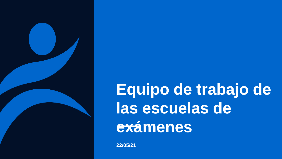

**Equipo de trabajo de las escuelas de exámenes**

**22/05/21**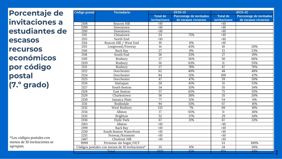**Porcentaje de invitaciones a estudiantes de escasos recursos económicos por código postal (7.º grado)**

*\*Los códigos postales con menos de 10 invitaciones se agrupan.*

| Código postal<br>Vecindario |                                                |                  | SY20-21                 |                  | <b>SY21-22</b>          |  |  |  |
|-----------------------------|------------------------------------------------|------------------|-------------------------|------------------|-------------------------|--|--|--|
|                             |                                                | <b>Total de</b>  | Porcentaje de invitados | <b>Total de</b>  | Porcentaje de invitados |  |  |  |
|                             |                                                | invitaciones     | de escasos recursos     | invitaciones     | de escasos recursos     |  |  |  |
| 2108                        | <b>Beacon Hill</b>                             | <10              |                         | <10              |                         |  |  |  |
| 2109                        | Downtown                                       | $\leq 10$        |                         | $\overline{<}10$ |                         |  |  |  |
| $\overline{2110}$           | Downtown                                       | <10              |                         | $\overline{<}10$ |                         |  |  |  |
| 2111                        | Chinatown                                      | $\overline{24}$  | 75%                     | $\overline{<}10$ |                         |  |  |  |
| 2113                        | North End                                      | <10              |                         | $\overline{<}10$ |                         |  |  |  |
| 2114                        | Beacon Hill / West End                         | 19               | 11%                     | <10              |                         |  |  |  |
| 2115                        | Longwood/Fenway                                | $\overline{14}$  | 43%                     | $\overline{10}$  | 20%                     |  |  |  |
| 2116                        | <b>Back Bay</b>                                | 27               | 0%                      | $\overline{13}$  | 23%                     |  |  |  |
| 2118                        | South End                                      | 36               | 33%                     | $\overline{27}$  | 19%                     |  |  |  |
| 2119                        | Roxbury                                        | $\overline{27}$  | 56%                     | $\overline{50}$  | 68%                     |  |  |  |
| 2120                        | Roxbury                                        | 16               | 63%                     | 11               | 55%                     |  |  |  |
| 2121                        | Roxbury                                        | $\overline{27}$  | 78%                     | 67               | 76%                     |  |  |  |
| 2122                        | Dorchester                                     | 62               | 40%                     | 48               | 48%                     |  |  |  |
| 2124                        | Dorchester                                     | 84               | $\overline{51\%}$       | $\overline{109}$ | 47%                     |  |  |  |
| 2125                        | Dorchester                                     | $\overline{47}$  | 47%                     | $\overline{59}$  | 59%                     |  |  |  |
| 2126                        | Mattapan                                       | $\overline{20}$  | 45%                     | $\overline{51}$  | 53%                     |  |  |  |
| 2127                        | South Boston                                   | $\overline{34}$  | 35%                     | 35               | 34%                     |  |  |  |
| 2128                        | East Boston                                    | $\overline{57}$  | 65%                     | $\overline{75}$  | 55%                     |  |  |  |
| 2129                        | Charlestown                                    | $\overline{56}$  | 38%                     | $\overline{35}$  | 20%                     |  |  |  |
| 2130                        | Jamaica Plain                                  | $\overline{77}$  | 12%                     | $\overline{54}$  | 6%                      |  |  |  |
| 2131                        | Roslindale                                     | 94               | 33%                     | 67               | 16%                     |  |  |  |
| 2132                        | <b>West Roxbury</b>                            | $\overline{133}$ | 7%                      | 69               | 10%                     |  |  |  |
| 2134                        | Allston                                        | 17               | 65%                     | 11               | 36%                     |  |  |  |
| 2135                        | Brighton                                       | 52               | 37%                     | 29               | 34%                     |  |  |  |
| 2136                        | Hyde Park                                      | 67               | 31%                     | 67               | 33%                     |  |  |  |
| 2163                        | Allston                                        | <10              |                         | <10              |                         |  |  |  |
| 2199                        | <b>Back Bay</b>                                | <10              |                         | <10              |                         |  |  |  |
| 2210                        | South Boston Waterfront                        | <10              |                         | <10              |                         |  |  |  |
| 2215                        | Fenway/Kenmore                                 | <10              |                         | <10              |                         |  |  |  |
| 2467                        | <b>Chestnut Hill</b>                           | <10              |                         | <10              |                         |  |  |  |
| 9999                        | Personas sin hogar/DCF                         |                  |                         | $\overline{53}$  | 100%                    |  |  |  |
|                             | Códigos postales con menos de 10 invitaciones* | 35               | 11%                     | 34               | 26%                     |  |  |  |
|                             | Total                                          | 1025             | 35%                     | 974              | 43%                     |  |  |  |

**2**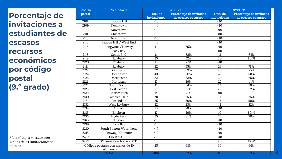**Porcentaje de invitaciones a estudiantes de escasos recursos económicos por código postal (9.º grado)**

| Código | Vecindario                       |                  | SY20-21                 |                 | <b>SY21-22</b>          |
|--------|----------------------------------|------------------|-------------------------|-----------------|-------------------------|
| postal |                                  | <b>Total de</b>  | Porcentaje de invitados | <b>Total de</b> | Porcentaje de invitados |
|        |                                  | invitaciones     | de escasos recursos     | invitaciones    | de escasos recursos     |
| 2108   | <b>Beacon Hill</b>               | <10              |                         | <10             |                         |
| 2109   | Downtown                         | $\overline{5}$   |                         | $\overline{10}$ |                         |
| 2110   | Downtown                         | $\overline{10}$  |                         | $\overline{10}$ |                         |
| 2111   | Chinatown                        | $\overline{10}$  |                         | <10             |                         |
| 2113   | North End                        | <10              |                         | <10             |                         |
| 2114   | Beacon Hill / West End           | <10              |                         | <10             |                         |
| 2115   | Longwood/Fenway                  | $\overline{11}$  | 55%                     | $\overline{10}$ |                         |
| 2116   | Back Bay                         | $\overline{50}$  |                         | <10             |                         |
| 2118   | South End                        | 11               | 82%                     | 11              | 64%                     |
| 2119   | Roxbury                          | $\overline{25}$  | 52%                     | $\overline{20}$ | 80 %                    |
| 2120   | Roxbury                          | $\overline{13}$  | 77%                     | <10             |                         |
| 2121   | Roxbury                          | $\overline{22}$  | 55%                     | $\overline{23}$ | 78%                     |
| 2122   | Dorchester                       | $\overline{32}$  | 69%                     | $\overline{20}$ | 75%                     |
| 2124   | Dorchester                       | 43               | 60%                     | $\overline{42}$ | 50%                     |
| 2125   | Dorchester                       | $\overline{32}$  | 63%                     | $\overline{20}$ | 65%                     |
| 2126   | Mattapan                         | 17               | 29%                     | $\overline{27}$ | 41%                     |
| 2127   | South Boston                     | 11               | 64%                     | 12              | 58%                     |
| 2128   | East Boston                      | 21               | 71%                     | $\overline{28}$ | 82%                     |
| 2129   | Charlestown                      | $\overline{14}$  | 71%                     | $\overline{10}$ |                         |
| 2130   | Jamaica Plain                    | 20               | 35%                     | 17              | 35%                     |
| 2131   | Roslindale                       | $\overline{25}$  | 20%                     | 18              | 50%                     |
| 2132   | West Roxbury                     | $\overline{22}$  | 23%                     | $\overline{12}$ | 42%                     |
| 2134   | Allston                          | $\overline{10}$  | 70%                     | $\overline{10}$ |                         |
| 2135   | <b>Brighton</b>                  | 17               | 29%                     | 10              | 80 %                    |
| 2136   | Hyde Park                        | $\overline{35}$  | 31%                     | 24              | 50%                     |
| 2163   | Allston                          | $\overline{<}10$ |                         | $\overline{10}$ |                         |
| 2199   | Back Bay                         | <10              |                         | <10             |                         |
| 2210   | <b>South Boston Waterfront</b>   | <10              |                         | <10             |                         |
| 2215   | Fenway/Kenmore                   | $\overline{50}$  |                         | <10             |                         |
| 2467   | Chestnut Hill                    | <10              |                         | <10             |                         |
| 9999   | Personas sin hogar/DCF           |                  |                         | 20              | 100%                    |
|        | Códigos postales con menos de 10 | $\overline{25}$  | 68%                     | 36              | 64%                     |
|        | invitaciones*                    |                  |                         |                 |                         |
|        | Total                            | 406              | 52%                     | 340             | 63%                     |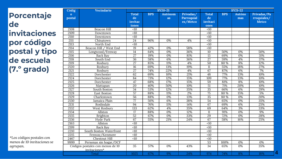| <b>Porcentaje</b> |
|-------------------|
| de                |
| invitaciones      |
| por código        |
| postal y tipo     |
| de escuela        |
| (7.º grado)       |

| Códig              | <b>Vecindario</b>                                 |                                        |            | SY20-21              |                                     | <b>SY21-22</b>                         |            |               |                                            |  |
|--------------------|---------------------------------------------------|----------------------------------------|------------|----------------------|-------------------------------------|----------------------------------------|------------|---------------|--------------------------------------------|--|
| $\Omega$<br>postal |                                                   | <b>Total</b><br>de<br>invitac<br>iones | <b>BPS</b> | <b>Autónom</b><br>as | Privadas/<br>Parroquial<br>es/Metco | <b>Total</b><br>de<br>invitaci<br>ones | <b>BPS</b> | Autóno<br>mas | Privadas/Pa<br>rroquiales/<br><b>Metco</b> |  |
| 2108               | <b>Beacon Hill</b>                                | <10                                    |            |                      |                                     | <10                                    |            |               |                                            |  |
| 2109               | Downtown                                          | $\overline{10}$                        |            |                      |                                     | $\overline{10}$                        |            |               |                                            |  |
| 2110               | Downtown                                          | $\overline{50}$                        |            |                      |                                     | $\overline{10}$                        |            |               |                                            |  |
| 2111               | Chinatown                                         | 24                                     | 96%        | 0%                   | 4%                                  | <10                                    |            |               |                                            |  |
| 2113               | North End                                         | <10                                    |            |                      |                                     | <10                                    |            |               |                                            |  |
| 2114               | <b>Beacon Hill</b><br>/ West End                  | 19                                     | 42%        | 0%                   | 58%                                 | $\overline{10}$                        |            |               |                                            |  |
| 2115               | Longwood/Fenway                                   | $\overline{14}$                        | 64%        | $\overline{0\%}$     | 36%                                 | 10                                     | 50%        | 0%            | 50%                                        |  |
| 2116               | <b>Back Bay</b>                                   | $\overline{27}$                        | 19%        | 0%                   | 81%                                 | $\overline{13}$                        | 69%        | 0%            | 31%                                        |  |
| 2118               | South End                                         | $\overline{36}$                        | 58%        | 6%                   | 36%                                 | $\overline{27}$                        | 59%        | 4%            | 37%                                        |  |
| 2119               | Roxbury                                           | $\overline{27}$                        | 85%        | 11%                  | 4%                                  | $\overline{50}$                        | 80 %       | 8%            | 12%                                        |  |
| 2120               | Roxbury                                           | 16                                     | 69%        | 13%                  | 19%                                 | 11                                     | 55%        | 18%           | 27%                                        |  |
| 2121               | Roxbury                                           | 27                                     | 74%        | 22%                  | 4%                                  | 67                                     | 87%        | 6%            | 7%                                         |  |
| 2122               | Dorchester                                        | 62                                     | 69%        | 10%                  | 21%                                 | 48                                     | 77%        | 13%           | 10%                                        |  |
| 2124               | Dorchester                                        | 84                                     | 73%        | 12%                  | 15%                                 | 109                                    | 77%        | 13%           | 10%                                        |  |
| 2125               | Dorchester                                        | 47                                     | 68%        | 17%                  | 15%                                 | $\overline{59}$                        | 81%        | 8%            | 10%                                        |  |
| 2126               | Mattapan                                          | 20                                     | 40%        | 50%                  | 10%                                 | $\overline{51}$                        | 71%        | 20%           | 10%                                        |  |
| 2127               | South Boston                                      | $\overline{34}$                        | 53%        | 12%                  | 35%                                 | 35                                     | 66%        | 6%            | 29%                                        |  |
| 2128               | East Boston                                       | $\overline{57}$                        | 88%        | 11%                  | 2%                                  | $\overline{75}$                        | 80 %       | 15%           | 5%                                         |  |
| 2129               | Charlestown                                       | 56                                     | 88%        | 0%                   | 13%                                 | 35                                     | 80 %       | 0%            | 20%                                        |  |
| 2130               | Jamaica Plain                                     | $\overline{77}$                        | 56%        | 6%                   | 38%                                 | $\overline{54}$                        | 65%        | 0%            | 35%                                        |  |
| 2131               | Roslindale                                        | 94                                     | 76%        | 11%                  | 14%                                 | 67                                     | 69%        | 6%            | 25%                                        |  |
| 2132               | West Roxbury                                      | 133                                    | 62%        | 4%                   | 35%                                 | 69                                     | 64%        | 3%            | 33%                                        |  |
| 2134               | Allston                                           | $\overline{17}$                        | 88%        | 0%                   | 12%                                 | 11                                     | 91%        | 0%            | 9%                                         |  |
| 2135               | Brighton                                          | 52                                     | 67%        | 0%                   | 33%                                 | 29                                     | 72%        | 0%            | 28%                                        |  |
| 2136               | Hyde Park                                         | 67                                     | 55%        | 21%                  | 24%                                 | 67                                     | 58%        | 16%           | 25%                                        |  |
| 2163               | Allston                                           | <10                                    |            |                      |                                     | <10                                    |            |               |                                            |  |
| 2199               | <b>Back Bav</b>                                   | <10                                    |            |                      |                                     | <10                                    |            |               |                                            |  |
| 2210               | South Boston Waterfront                           | $\overline{10}$                        |            |                      |                                     | $\overline{10}$                        |            |               |                                            |  |
| 2215               | Fenway/Kenmore                                    | $\overline{50}$                        |            |                      |                                     | $\overline{10}$                        |            |               |                                            |  |
| 2467               | Chestnut Hill                                     | $\overline{10}$                        |            |                      |                                     | <10                                    |            |               |                                            |  |
| 9999               | Personas sin hogar/DCF                            |                                        |            |                      |                                     | $\overline{53}$                        | 100%       | 0%            | 0%                                         |  |
|                    | Códigos postales con menos de 10<br>invitaciones* | 35                                     | 57%        | 0%                   | 43%                                 | 34                                     | 65%        | 0%            | 35%                                        |  |
|                    | Total                                             | 1025                                   | 67%        | 9%                   | 24%                                 | 974                                    | 74%        | 8%            | 4<br>18%                                   |  |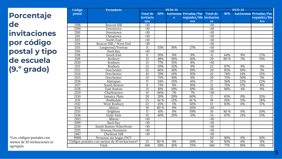**Porcentaje de invitaciones por código postal y tipo de escuela (9.º grado)**

| Código            | <b>Vecindario</b>                              |                 |            | <b>SY20-21</b> |                         |                 |            | <b>SY21-22</b> |                        |
|-------------------|------------------------------------------------|-----------------|------------|----------------|-------------------------|-----------------|------------|----------------|------------------------|
| postal            |                                                | <b>Total de</b> | <b>BPS</b> |                | Autónoma Privadas/Par   | <b>Total de</b> | <b>BPS</b> |                | Autónomas Privadas/Par |
|                   |                                                | invitacio       |            | $\mathbf{s}$   | roquiales/Me invitacion |                 |            |                | roquiales/Me           |
|                   |                                                | nes             |            |                | tco                     | es              |            |                | tco                    |
| 2108              | <b>Beacon Hill</b>                             | <10             |            |                |                         | <10             |            |                |                        |
| 2109              | Downtown                                       | $\overline{50}$ |            |                |                         | <10             |            |                |                        |
| 2110              | Downtown                                       | <10             |            |                |                         | <10             |            |                |                        |
| 2111              | Chinatown                                      | $\overline{10}$ |            |                |                         | $\overline{10}$ |            |                |                        |
| 2113              | North End                                      | <10             |            |                |                         | <10             |            |                |                        |
| $\overline{2114}$ | Beacon Hill / West End                         | <10             |            |                |                         | <10             |            |                |                        |
| 2115              | Longwood/Fenway                                | 11              | 55%        | 18%            | 27%                     | $\overline{50}$ |            |                |                        |
| 2116              | Back Bay                                       | <10             |            |                |                         | <10             |            |                |                        |
| 2118              | South End                                      | 11              | 91%        | 0%             | 9%                      | 11              | 64%        | 9%             | 27%                    |
| 2119              | Roxbury                                        | $\overline{25}$ | 48%        | 36%            | 16%                     | 20              | 80 %       | 5%             | $15\%$                 |
| 2120              | Roxbury                                        | 13              | 77%        | 15%            | 8%                      | <10             |            |                |                        |
| 2121              | Roxbury                                        | $\overline{22}$ | 59%        | 32%            | 9%                      | 23              | 87%        | 9%             | 4%                     |
| 2122              | Dorchester                                     | 32              | 66%        | 16%            | 19%                     | 20              | 85%        | 10%            | 5%                     |
| 2124              | Dorchester                                     | 43              | 70%        | 14%            | 16%                     | 42              | 74%        | 14%            | 12%                    |
| 2125              | Dorchester                                     | $\overline{32}$ | 75%        | 16%            | 9%                      | 20              | 75%        | 20%            | 5%                     |
| 2126              | Mattapan                                       | 17              | 24%        | 35%            | 41%                     | 27              | 56%        | 22%            | 22%                    |
| 2127              | South Boston                                   | 11              | 73%        | 9%             | 18%                     | 12              | 75%        | 17%            | 8%                     |
| 2128              | East Boston                                    | 21              | 81%        | 10%            | 10%                     | 28              | 96%        | 4%             | 0%                     |
| 2129              | Charlestown                                    | 14              | 86%        | 7%             | 7%                      | <10             |            |                |                        |
| 2130              | Jamaica Plain                                  | 20              | 20%        | 20%            | 60%                     | 17              | 65%        | 0%             | 35%                    |
| 2131              | Roslindale                                     | $\overline{25}$ | 44 %       | 12%            | 44 %                    | 18              | 61%        | 11%            | 28%                    |
| 2132              | West Roxbury                                   | 22              | 45%        | 5%             | 50%                     | 12              | 83%        | 0%             | 17%                    |
| 2134              | Allston                                        | 10              | 80 %       | 0%             | 20%                     | <10             |            |                |                        |
| 2135              | Brighton                                       | $\overline{17}$ | 41%        | 0%             | 59%                     | 10              | 80 %       | 0%             | 20%                    |
| 2136              | Hyde Park                                      | 35              | 40%        | 29%            | 31%                     | 24              | 67%        | 21%            | 13%                    |
| 2163              | Allston                                        | <10             |            |                |                         | <10             |            |                |                        |
| 2199              | <b>Back Bay</b>                                | <10             |            |                |                         | <10             |            |                |                        |
| 2210              | South Boston Waterfront                        | <10             |            |                |                         | <10             |            |                |                        |
| 2215              | Fenway/Kenmore                                 | <10             |            |                |                         | <10             |            |                |                        |
| 2467              | Chestnut Hill                                  | <10             |            |                |                         | <10             |            |                |                        |
| 9999              | Personas sin hogar/DCF                         |                 |            |                |                         | 20              | 90%        | 0%             | 10%                    |
|                   | Códigos postales con menos de 10 invitaciones* | 25              | 80 %       | 0%             | 20%                     | 36              | 83%        | 6%             | 11%                    |
| Total             |                                                | 406             | 59%        | 16%            | 25%                     | 340             | 77%        | 10%            | 13%                    |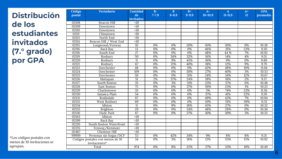**Distribución de los estudiantes invitados (7. ° grado) por GPA**

| Código<br>postal | Vecindario                       | Cantidad<br>de  | $B -$<br>$7 - 7.9$ | B<br>$8 - 8.9$   | $B+$<br>$9 - 9.9$ | $A-$<br>$10 - 10.9$ | A<br>$11 - 11.9$ | $A+$<br>12 | <b>GPA</b><br>promedio |
|------------------|----------------------------------|-----------------|--------------------|------------------|-------------------|---------------------|------------------|------------|------------------------|
|                  |                                  | invitados:      |                    |                  |                   |                     |                  |            |                        |
| 02108            | Beacon Hill                      | <10             |                    |                  |                   |                     |                  |            |                        |
| 02109            | Downtown                         | <10             |                    |                  |                   |                     |                  |            |                        |
| 02110            | Downtown                         | $\overline{10}$ |                    |                  |                   |                     |                  |            |                        |
| 02111            | Chinatown                        | <10             |                    |                  |                   |                     |                  |            |                        |
| 02113            | North End                        | $\overline{50}$ |                    |                  |                   |                     |                  |            |                        |
| 02114            | Beacon Hill / West End           | <10             |                    |                  |                   |                     |                  |            |                        |
| 02115            | Longwood/Fenway                  | 10              | 0%                 | 0%               | 20%               | 50%                 | 30%              | 0%         | 10.38                  |
| 02116            | Back Bay                         | $\overline{13}$ | 0%                 | 0%               | 0%                | 46%                 | 31%              | 23%        | 11.10                  |
| 02118            | South End                        | $\overline{27}$ | 0%                 | 0%               | 0%                | 48%                 | 44 %             | 7%         | 10.92                  |
| 02119            | Roxbury                          | 50              | 0%                 | 34%              | 32%               | 16%                 | 14%              | 4%         | 9.51                   |
| 02120            | Roxbury                          | 11              | 0%                 | 9%               | 45%               | 36%                 | 9%               | 0%         | 9.89                   |
| 02121            | Roxbury                          | 67              | 0%                 | 21%              | 40%               | 18%                 | 12%              | 9%         | 9.79                   |
| 02122            | Dorchester                       | 48              | $0\%$              | 0%               | 0%                | 42%                 | 48%              | 10%        | 11.04                  |
| 02124            | Dorchester                       | 109             | $\overline{0\%}$   | $\overline{0\%}$ | 30%               | 27%                 | 40%              | 3%         | 10.53                  |
| 02125            | Dorchester                       | 59              | 0%                 | 0%               | 31%               | 24%                 | 34%              | 12%        | 10.67                  |
| 02126            | Mattapan                         | $\overline{51}$ | 2%                 | 37%              | 24%               | 18%                 | 18%              | 2%         | 9.57                   |
| 02127            | South Boston                     | $\overline{35}$ | 0%                 | 3%               | 31%               | 23%                 | 37%              | 6%         | 10.48                  |
| 02128            | East Boston                      | $\overline{75}$ | 0%                 | 0%               | 37%               | 39%                 | 23%              | 1%         | 10.25                  |
| 02129            | Charlestown                      | $\overline{35}$ | 0%                 | 0%               | 0%                | 3%                  | 74%              | 23%        | 11.56                  |
| 02130            | Jamaica Plain                    | $\overline{54}$ | 0%                 | 0%               | 0%                | 37%                 | 41%              | 22%        | 11.19                  |
| 02131            | Roslindale                       | 67              | 0%                 | 0%               | 0%                | 49%                 | 43%              | 7%         | 10.94                  |
| 02132            | West Roxbury                     | 69              | 0%                 | 0%               | 0%                | 10%                 | 51%              | 39%        | 11.51                  |
| 02134            | Allston                          | 11              | 0%                 | 9%               | 18%               | 45%                 | 27%              | 0%         | 10.32                  |
| 02135            | Brighton                         | 29              | 0%                 | 0%               | 24%               | 48%                 | 28%              | 0%         | 10.36                  |
| 02136            | Hyde Park                        | 67              | 0%                 | 0%               | 37%               | 30%                 | 30%              | 3%         | 10.32                  |
| 02163            | Allston                          | <10             |                    |                  |                   |                     |                  |            |                        |
| 02199            | <b>Back Bay</b>                  | <10             |                    |                  |                   |                     |                  |            |                        |
| 02210            | South Boston Waterfront          | <10             |                    |                  |                   |                     |                  |            |                        |
| 02215            | Fenway/Kenmore                   | <10             |                    |                  |                   |                     |                  |            |                        |
| 02467            | Chestnut Hill                    | <10             |                    |                  |                   |                     |                  |            |                        |
| 99999            | Personas sin hogar/DCF           | 53              | 0%                 | 42%              | 34%               | 9%                  | 8%               | 8%         | 9.31                   |
|                  | Códigos postales con menos de 10 | 34              | $\overline{0\%}$   | 3%               | 18%               | 12%                 | 53%              | 15%        | 10.92                  |
|                  | invitaciones*                    |                 |                    |                  |                   |                     |                  |            |                        |
|                  | Total                            | 974             | 0%                 | 8%               | 22%               | 27%                 | 33%              | 10%        | 10.49                  |